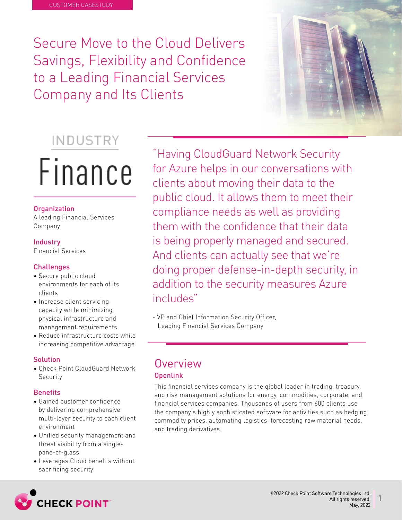Secure Move to the Cloud Delivers Savings, Flexibility and Confidence to a Leading Financial Services Company and Its Clients

# INDUSTRY Finance

### **Organization**

A leading Financial Services Company

# **Industry**

**Financial Services** 

# Challenges

- Secure public cloud environments for each of its clients
- Increase client servicing capacity while minimizing physical infrastructure and management requirements
- Reduce infrastructure costs while increasing competitive advantage

### Solution

• Check Point CloudGuard Network Security

### **Benefits**

- Gained customer confidence by delivering comprehensive multi-layer security to each client environment
- Unified security management and threat visibility from a singlepane-of-glass
- Leverages Cloud benefits without sacrificing security

"Having CloudGuard Network Security for Azure helps in our conversations with clients about moving their data to the public cloud. It allows them to meet their compliance needs as well as providing them with the confidence that their data is being properly managed and secured. And clients can actually see that we're doing proper defense-in-depth security, in addition to the security measures Azure includes"

- VP and Chief Information Security Officer, Leading Financial Services Company

# **Overview**

# Openlink

This financial services company is the global leader in trading, treasury, and risk management solutions for energy, commodities, corporate, and financial services companies. Thousands of users from 600 clients use the company's highly sophisticated software for activities such as hedging commodity prices, automating logistics, forecasting raw material needs, and trading derivatives.

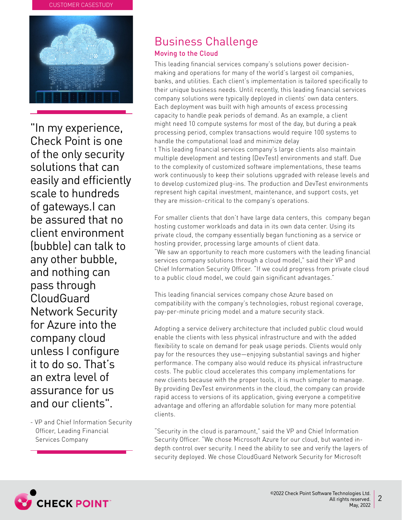#### **CUSTOMER CASESTUDY**



"In my experience, Check Point is one of the only security solutions that can easily and efficiently scale to hundreds of gateways. I can he assured that no client environment (bubble) can talk to any other bubble. and nothing can pass through CloudGuard **Network Security** for Azure into the company cloud unless I configure it to do so. That's an extra level of assurance for us and our clients".

- VP and Chief Information Security Officer, Leading Financial Services Company

# **Business Challenge**

# Moving to the Cloud

making and operations for many of the world's largest oil companies, This leading financial services company's solutions power decisionbanks, and utilities. Each client's implementation is tailored specifically to their unique business needs. Until recently, this leading financial services company solutions were typically deployed in clients' own data centers. Each deployment was built with high amounts of excess processing capacity to handle peak periods of demand. As an example, a client might need 10 compute systems for most of the day, but during a peak processing period, complex transactions would require 100 systems to handle the computational load and minimize delay t This leading financial services company's large clients also maintain multiple development and testing (DevTest) environments and staff. Due to the complexity of customized software implementations, these teams work continuously to keep their solutions upgraded with release levels and to develop customized plug-ins. The production and DevTest environments

For smaller clients that don't have large data centers, this company began hosting customer workloads and data in its own data center. Using its private cloud, the company essentially began functioning as a service or hosting provider, processing large amounts of client data. "We saw an opportunity to reach more customers with the leading financial services company solutions through a cloud model," said their VP and Chief Information Security Officer. "If we could progress from private cloud to a public cloud model, we could gain significant advantages."

represent high capital investment, maintenance, and support costs, yet

they are mission-critical to the company's operations.

This leading financial services company chose Azure based on compatibility with the company's technologies, robust regional coverage, pay-per-minute pricing model and a mature security stack.

Adopting a service delivery architecture that included public cloud would enable the clients with less physical infrastructure and with the added flexibility to scale on demand for peak usage periods. Clients would only pay for the resources they use—enjoying substantial savings and higher performance. The company also would reduce its physical infrastructure costs. The public cloud accelerates this company implementations for new clients because with the proper tools, it is much simpler to manage. By providing DevTest environments in the cloud, the company can provide rapid access to versions of its application, giving everyone a competitive advantage and offering an affordable solution for many more potential .clients

"Security in the cloud is paramount," said the VP and Chief Information depth control over security. I need the ability to see and verify the layers of Security Officer. "We chose Microsoft Azure for our cloud, but wanted insecurity deployed. We chose CloudGuard Network Security for Microsoft

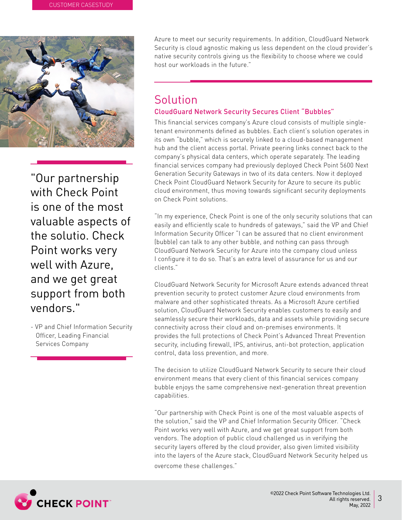

"Our partnership with Check Point is one of the most valuable aspects of the solutio Check Point works very well with Azure. and we get great support from both ".vendors

- VP and Chief Information Security Officer, Leading Financial Services Company

Azure to meet our security requirements. In addition, CloudGuard Network Security is cloud agnostic making us less dependent on the cloud provider's native security controls giving us the flexibility to choose where we could host our workloads in the future"

# Solution CloudGuard Network Security Secures Client "Bubbles"

tenant environments defined as bubbles. Each client's solution operates in This financial services company's Azure cloud consists of multiple singleits own "bubble," which is securely linked to a cloud-based management hub and the client access portal. Private peering links connect back to the company's physical data centers, which operate separately. The leading financial services company had previously deployed Check Point 5600 Next Generation Security Gateways in two of its data centers. Now it deployed Check Point CloudGuard Network Security for Azure to secure its public cloud environment, thus moving towards significant security deployments on Check Point solutions.

"In my experience, Check Point is one of the only security solutions that can easily and efficiently scale to hundreds of gateways," said the VP and Chief Information Security Officer "I can be assured that no client environment (bubble) can talk to any other bubble, and nothing can pass through Cloud Guard Network Security for Azure into the company cloud unless I configure it to do so. That's an extra level of assurance for us and our ".clients

CloudGuard Network Security for Microsoft Azure extends advanced threat prevention security to protect customer Azure cloud environments from malware and other sophisticated threats. As a Microsoft Azure certified solution, CloudGuard Network Security enables customers to easily and seamlessly secure their workloads, data and assets while providing secure connectivity across their cloud and on-premises environments. It provides the full protections of Check Point's Advanced Threat Prevention security, including firewall, IPS, antivirus, anti-bot protection, application control, data loss prevention, and more.

The decision to utilize CloudGuard Network Security to secure their cloud environment means that every client of this financial services company bubble enjoys the same comprehensive next-generation threat prevention .capabilities

"Our partnership with Check Point is one of the most valuable aspects of the solution," said the VP and Chief Information Security Officer. "Check Point works very well with Azure, and we get great support from both vendors. The adoption of public cloud challenged us in verifying the security layers offered by the cloud provider, also given limited visibility into the layers of the Azure stack, CloudGuard Network Security helped us overcome these challenges."